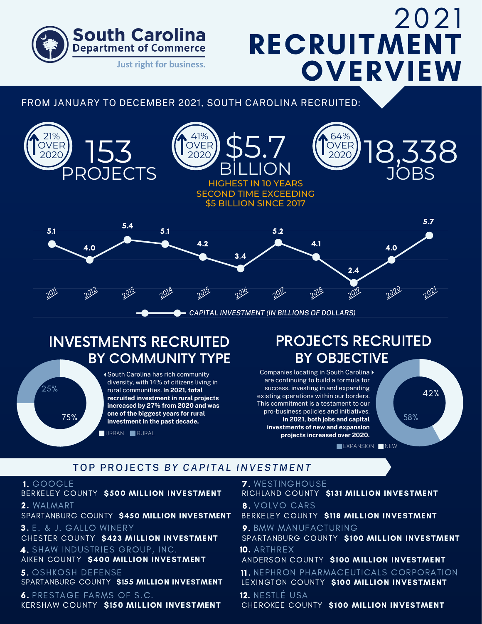

# 2021 **RECRUITMENT OVERVIEW**

### FROM JANUARY TO DECEMBER 2021, SOUTH CAROLINA RECRUITED:



## INVESTMENTS RECRUITED BY COMMUNITY TYPE

South Carolina has rich community diversity, with 14% of citizens living in rural communities. **In 2021, total recruited investment in rural projects increased by 27% from 2020 and was one of the biggest years for rural investment in the past decade.**

URBAN **RURAL** 

## PROJECTS RECRUITED BY OBJECTIVE

Companies locating in South Carolina are continuing to build a formula for success, investing in and expanding existing operations within our borders. This commitment is a testament to our pro-business policies and initiatives. **In 2021, both jobs and capital investments of new and expansion projects increased over 2020.**



### TOP PROJECTS *BY CAPI TAL INVEST M ENT*

#### 1. GOOGLE

 $25%$ 

75%

BERKELEY COUNTY \$500 MILLION INVESTMENT 2. WALMART

SPARTANBURG COUNTY \$450 MILLION INVESTMENT

3. E. & J. GALLO WINERY 4. SHAW INDUSTRIES GROUP, INC. CHESTER COUNTY \$423 MILLION INVESTMENT

AIKEN COUNTY \$400 MILLION INVESTMENT

5. OSHKOSH DEFENSE SPARTANBURG COUNTY S155 MILLION INVESTMENT

6. PRESTAGE FARMS OF S.C. KERSHAW COUNTY \$150 MILLION INVESTMENT

7. WESTINGHOUSE RICHLAND COUNTY \$131 MILLION INVESTMENT 8. VOLVO CARS BERKELEY COUNTY \$118 MILLION INVESTMENT

9. BMW MANUFACTURING SPARTANBURG COUNTY \$100 MILLION INVESTMENT 10. ARTHREX

ANDERSON COUNTY \$100 MILLION INVESTMENT

11. NEPHRON PHARMACEUTICALS CORPORATION LEXINGTON COUNTY \$100 MILLION INVESTMENT

12. NESTLÉ USA CHEROKEE COUNTY \$100 MILLION INVESTMENT